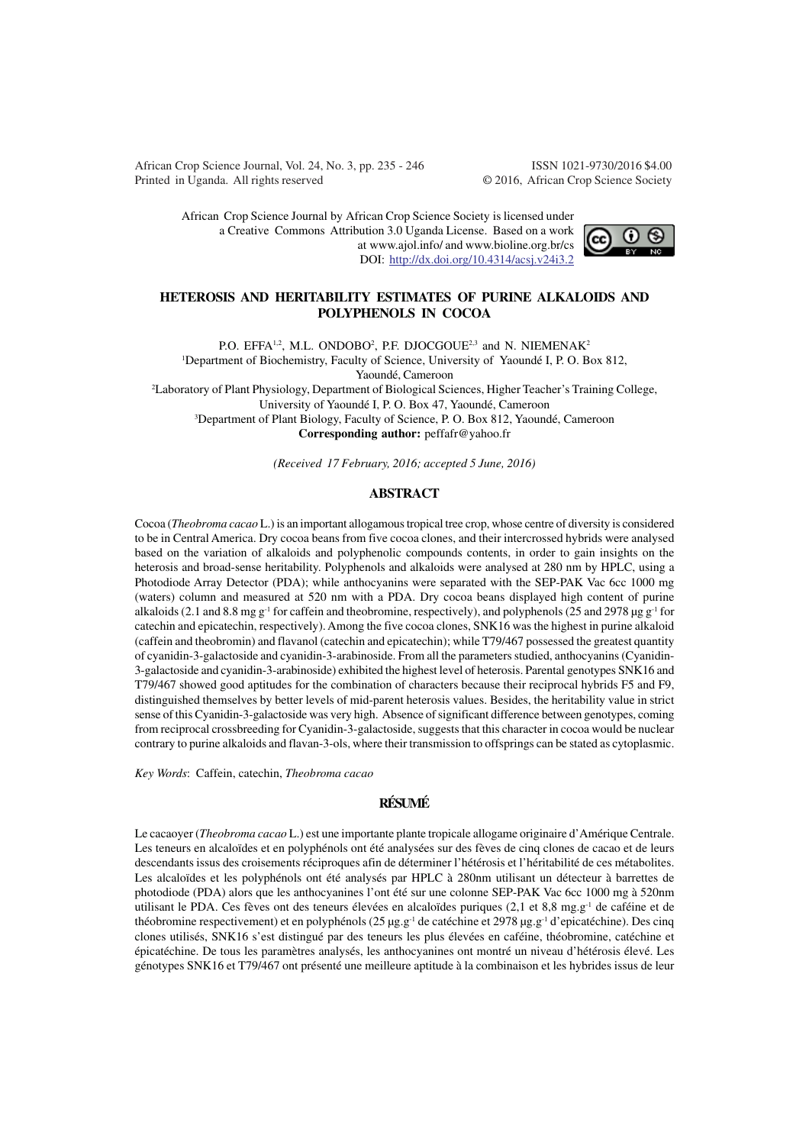African Crop Science Journal, Vol. 24, No. 3, pp. 235 - 246 ISSN 1021-9730/2016 \$4.00 Printed in Uganda. All rights reserved © 2016, African Crop Science Society

African Crop Science Journal by African Crop Science Society is licensed under a Creative Commons Attribution 3.0 Uganda License. Based on a work at www.ajol.info/ and www.bioline.org.br/cs DOI: http://dx.doi.org/10.4314/acsj.v24i3.2



### **HETEROSIS AND HERITABILITY ESTIMATES OF PURINE ALKALOIDS AND POLYPHENOLS IN COCOA**

P.O. EFFA<sup>1,2</sup>, M.L. ONDOBO<sup>2</sup>, P.F. DJOCGOUE<sup>2,3</sup> and N. NIEMENAK<sup>2</sup>

<sup>1</sup>Department of Biochemistry, Faculty of Science, University of Yaoundé I, P. O. Box 812,

Yaoundé, Cameroon

<sup>2</sup>Laboratory of Plant Physiology, Department of Biological Sciences, Higher Teacher's Training College, University of Yaoundé I, P. O. Box 47, Yaoundé, Cameroon

<sup>3</sup>Department of Plant Biology, Faculty of Science, P. O. Box 812, Yaoundé, Cameroon

**Corresponding author:** peffafr@yahoo.fr

*(Received 17 February, 2016; accepted 5 June, 2016)*

### **ABSTRACT**

Cocoa (*Theobroma cacao* L.) is an important allogamous tropical tree crop, whose centre of diversity is considered to be in Central America. Dry cocoa beans from five cocoa clones, and their intercrossed hybrids were analysed based on the variation of alkaloids and polyphenolic compounds contents, in order to gain insights on the heterosis and broad-sense heritability. Polyphenols and alkaloids were analysed at 280 nm by HPLC, using a Photodiode Array Detector (PDA); while anthocyanins were separated with the SEP-PAK Vac 6cc 1000 mg (waters) column and measured at 520 nm with a PDA. Dry cocoa beans displayed high content of purine alkaloids (2.1 and 8.8 mg g<sup>-1</sup> for caffein and theobromine, respectively), and polyphenols (25 and 2978 µg g<sup>-1</sup> for catechin and epicatechin, respectively). Among the five cocoa clones, SNK16 was the highest in purine alkaloid (caffein and theobromin) and flavanol (catechin and epicatechin); while T79/467 possessed the greatest quantity of cyanidin-3-galactoside and cyanidin-3-arabinoside. From all the parameters studied, anthocyanins (Cyanidin-3-galactoside and cyanidin-3-arabinoside) exhibited the highest level of heterosis. Parental genotypes SNK16 and T79/467 showed good aptitudes for the combination of characters because their reciprocal hybrids F5 and F9, distinguished themselves by better levels of mid-parent heterosis values. Besides, the heritability value in strict sense of this Cyanidin-3-galactoside was very high. Absence of significant difference between genotypes, coming from reciprocal crossbreeding for Cyanidin-3-galactoside, suggests that this character in cocoa would be nuclear contrary to purine alkaloids and flavan-3-ols, where their transmission to offsprings can be stated as cytoplasmic.

*Key Words*: Caffein, catechin, *Theobroma cacao*

## **RÉSUMÉ**

Le cacaoyer (*Theobroma cacao* L.) est une importante plante tropicale allogame originaire d'Amérique Centrale. Les teneurs en alcaloïdes et en polyphénols ont été analysées sur des fèves de cinq clones de cacao et de leurs descendants issus des croisements réciproques afin de déterminer l'hétérosis et l'héritabilité de ces métabolites. Les alcaloïdes et les polyphénols ont été analysés par HPLC à 280nm utilisant un détecteur à barrettes de photodiode (PDA) alors que les anthocyanines l'ont été sur une colonne SEP-PAK Vac 6cc 1000 mg à 520nm utilisant le PDA. Ces fèves ont des teneurs élevées en alcaloïdes puriques (2,1 et 8,8 mg.g<sup>-1</sup> de caféine et de théobromine respectivement) et en polyphénols (25 µg.g-1 de catéchine et 2978 µg.g-1 d'epicatéchine). Des cinq clones utilisés, SNK16 s'est distingué par des teneurs les plus élevées en caféine, théobromine, catéchine et épicatéchine. De tous les paramètres analysés, les anthocyanines ont montré un niveau d'hétérosis élevé. Les génotypes SNK16 et T79/467 ont présenté une meilleure aptitude à la combinaison et les hybrides issus de leur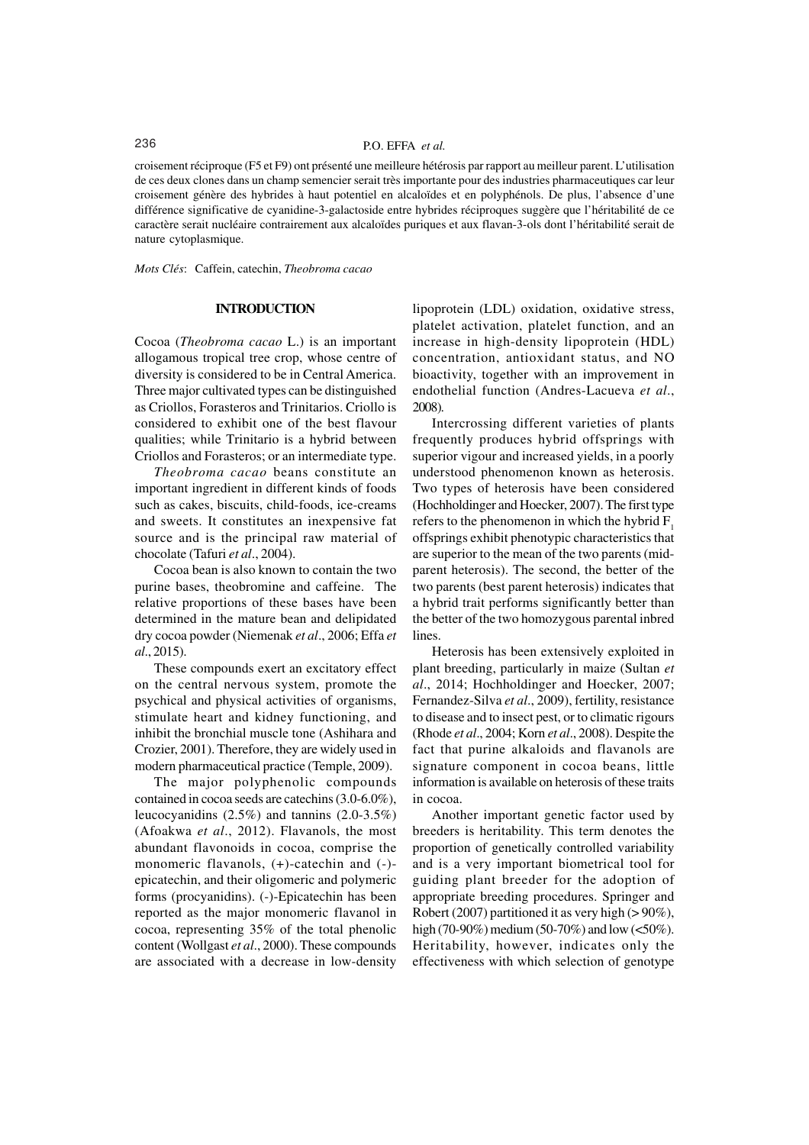# 236 P.O. EFFA *et al.*

croisement réciproque (F5 et F9) ont présenté une meilleure hétérosis par rapport au meilleur parent. L'utilisation de ces deux clones dans un champ semencier serait très importante pour des industries pharmaceutiques car leur croisement génère des hybrides à haut potentiel en alcaloïdes et en polyphénols. De plus, l'absence d'une différence significative de cyanidine-3-galactoside entre hybrides réciproques suggère que l'héritabilité de ce caractère serait nucléaire contrairement aux alcaloïdes puriques et aux flavan-3-ols dont l'héritabilité serait de nature cytoplasmique.

*Mots Clés*: Caffein, catechin, *Theobroma cacao*

### **INTRODUCTION**

Cocoa (*Theobroma cacao* L.) is an important allogamous tropical tree crop, whose centre of diversity is considered to be in Central America. Three major cultivated types can be distinguished as Criollos, Forasteros and Trinitarios. Criollo is considered to exhibit one of the best flavour qualities; while Trinitario is a hybrid between Criollos and Forasteros; or an intermediate type.

*Theobroma cacao* beans constitute an important ingredient in different kinds of foods such as cakes, biscuits, child-foods, ice-creams and sweets. It constitutes an inexpensive fat source and is the principal raw material of chocolate (Tafuri *et al*., 2004).

Cocoa bean is also known to contain the two purine bases, theobromine and caffeine. The relative proportions of these bases have been determined in the mature bean and delipidated dry cocoa powder (Niemenak *et al*., 2006; Effa *et al*., 2015).

These compounds exert an excitatory effect on the central nervous system, promote the psychical and physical activities of organisms, stimulate heart and kidney functioning, and inhibit the bronchial muscle tone (Ashihara and Crozier, 2001). Therefore, they are widely used in modern pharmaceutical practice (Temple, 2009).

The major polyphenolic compounds contained in cocoa seeds are catechins (3.0-6.0%), leucocyanidins (2.5%) and tannins (2.0-3.5%) (Afoakwa *et al*., 2012). Flavanols, the most abundant flavonoids in cocoa, comprise the monomeric flavanols, (+)-catechin and (-) epicatechin, and their oligomeric and polymeric forms (procyanidins). (-)-Epicatechin has been reported as the major monomeric flavanol in cocoa, representing 35% of the total phenolic content (Wollgast *et al*., 2000). These compounds are associated with a decrease in low-density

lipoprotein (LDL) oxidation, oxidative stress, platelet activation, platelet function, and an increase in high-density lipoprotein (HDL) concentration, antioxidant status, and NO bioactivity, together with an improvement in endothelial function (Andres-Lacueva *et al*., 2008).

Intercrossing different varieties of plants frequently produces hybrid offsprings with superior vigour and increased yields, in a poorly understood phenomenon known as heterosis. Two types of heterosis have been considered (Hochholdinger and Hoecker, 2007). The first type refers to the phenomenon in which the hybrid  $F_1$ offsprings exhibit phenotypic characteristics that are superior to the mean of the two parents (midparent heterosis). The second, the better of the two parents (best parent heterosis) indicates that a hybrid trait performs significantly better than the better of the two homozygous parental inbred lines.

Heterosis has been extensively exploited in plant breeding, particularly in maize (Sultan *et al*., 2014; Hochholdinger and Hoecker, 2007; Fernandez-Silva *et al*., 2009), fertility, resistance to disease and to insect pest, or to climatic rigours (Rhode *et al*., 2004; Korn *et al*., 2008). Despite the fact that purine alkaloids and flavanols are signature component in cocoa beans, little information is available on heterosis of these traits in cocoa.

Another important genetic factor used by breeders is heritability. This term denotes the proportion of genetically controlled variability and is a very important biometrical tool for guiding plant breeder for the adoption of appropriate breeding procedures. Springer and Robert (2007) partitioned it as very high (> 90%), high (70-90%) medium (50-70%) and low (<50%). Heritability, however, indicates only the effectiveness with which selection of genotype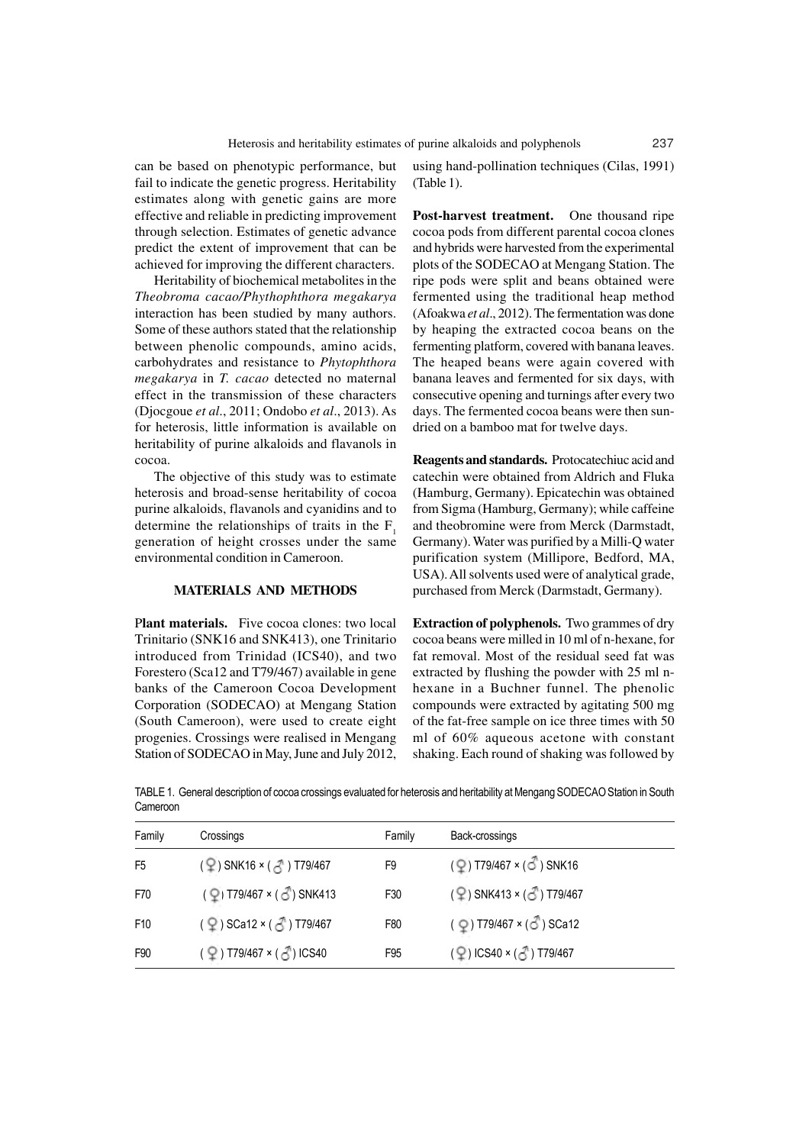can be based on phenotypic performance, but fail to indicate the genetic progress. Heritability estimates along with genetic gains are more effective and reliable in predicting improvement through selection. Estimates of genetic advance predict the extent of improvement that can be achieved for improving the different characters.

Heritability of biochemical metabolites in the *Theobroma cacao/Phythophthora megakarya* interaction has been studied by many authors. Some of these authors stated that the relationship between phenolic compounds, amino acids, carbohydrates and resistance to *Phytophthora megakarya* in *T. cacao* detected no maternal effect in the transmission of these characters (Djocgoue *et al*., 2011; Ondobo *et al*., 2013). As for heterosis, little information is available on heritability of purine alkaloids and flavanols in cocoa.

The objective of this study was to estimate heterosis and broad-sense heritability of cocoa purine alkaloids, flavanols and cyanidins and to determine the relationships of traits in the  $F_1$ generation of height crosses under the same environmental condition in Cameroon.

#### **MATERIALS AND METHODS**

P**lant materials.** Five cocoa clones: two local Trinitario (SNK16 and SNK413), one Trinitario introduced from Trinidad (ICS40), and two Forestero (Sca12 and T79/467) available in gene banks of the Cameroon Cocoa Development Corporation (SODECAO) at Mengang Station (South Cameroon), were used to create eight progenies. Crossings were realised in Mengang Station of SODECAO in May, June and July 2012,

using hand-pollination techniques (Cilas, 1991) (Table 1).

**Post-harvest treatment.** One thousand ripe cocoa pods from different parental cocoa clones and hybrids were harvested from the experimental plots of the SODECAO at Mengang Station. The ripe pods were split and beans obtained were fermented using the traditional heap method (Afoakwa *et al*., 2012). The fermentation was done by heaping the extracted cocoa beans on the fermenting platform, covered with banana leaves. The heaped beans were again covered with banana leaves and fermented for six days, with consecutive opening and turnings after every two days. The fermented cocoa beans were then sundried on a bamboo mat for twelve days.

**Reagents and standards.** Protocatechiuc acid and catechin were obtained from Aldrich and Fluka (Hamburg, Germany). Epicatechin was obtained from Sigma (Hamburg, Germany); while caffeine and theobromine were from Merck (Darmstadt, Germany). Water was purified by a Milli-Q water purification system (Millipore, Bedford, MA, USA). All solvents used were of analytical grade, purchased from Merck (Darmstadt, Germany).

**Extraction of polyphenols.** Two grammes of dry cocoa beans were milled in 10 ml of n-hexane, for fat removal. Most of the residual seed fat was extracted by flushing the powder with 25 ml nhexane in a Buchner funnel. The phenolic compounds were extracted by agitating 500 mg of the fat-free sample on ice three times with 50 ml of 60% aqueous acetone with constant shaking. Each round of shaking was followed by

TABLE 1. General description of cocoa crossings evaluated for heterosis and heritability at Mengang SODECAO Station in South Cameroon

| Family         | Crossings                                                      | Family          | Back-crossings                                      |  |
|----------------|----------------------------------------------------------------|-----------------|-----------------------------------------------------|--|
| F <sub>5</sub> | $(2)$ SNK16 × ( $3$ ) T79/467                                  | F9              | $(\overline{Q})$ T79/467 × ( $\overline{O}$ ) SNK16 |  |
| F70            | $($ $\circled{2}$ ) T79/467 × ( $\circled{3}$ ) SNK413         | F30             | $(2)$ SNK413 × (c) T79/467                          |  |
| F10            | $($ $\circled{2}$ $)$ SCa12 $\times$ ( $\circled{3}$ ) T79/467 | F80             | ( ♀) T79/467 × (♂) SCa12                            |  |
| F90            | (♀) T79/467 × (♂) ICS40                                        | F <sub>95</sub> | (♀)ICS40 × (♂) T79/467                              |  |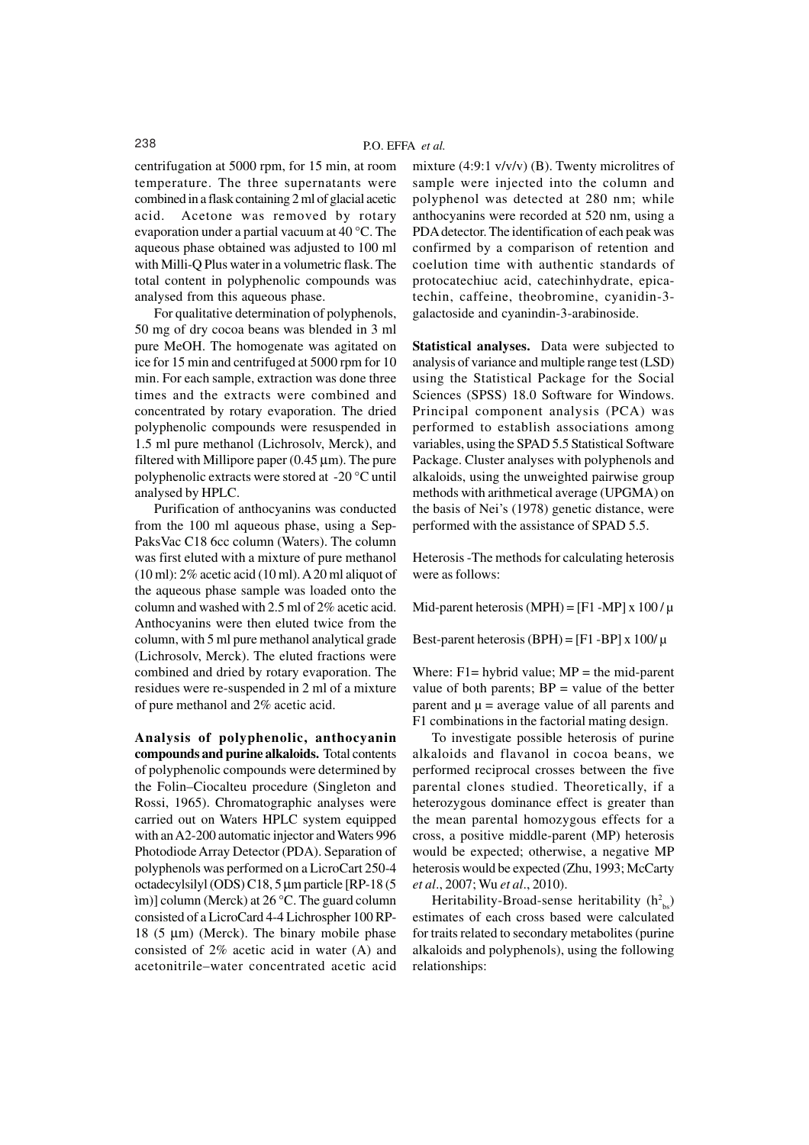centrifugation at 5000 rpm, for 15 min, at room temperature. The three supernatants were combined in a flask containing 2 ml of glacial acetic acid. Acetone was removed by rotary evaporation under a partial vacuum at 40 °C. The aqueous phase obtained was adjusted to 100 ml with Milli-Q Plus water in a volumetric flask. The total content in polyphenolic compounds was analysed from this aqueous phase.

For qualitative determination of polyphenols, 50 mg of dry cocoa beans was blended in 3 ml pure MeOH. The homogenate was agitated on ice for 15 min and centrifuged at 5000 rpm for 10 min. For each sample, extraction was done three times and the extracts were combined and concentrated by rotary evaporation. The dried polyphenolic compounds were resuspended in 1.5 ml pure methanol (Lichrosolv, Merck), and filtered with Millipore paper  $(0.45 \,\mu\text{m})$ . The pure polyphenolic extracts were stored at -20 °C until analysed by HPLC.

Purification of anthocyanins was conducted from the 100 ml aqueous phase, using a Sep-PaksVac C18 6cc column (Waters). The column was first eluted with a mixture of pure methanol  $(10 \text{ ml})$ : 2% acetic acid  $(10 \text{ ml})$ . A 20 ml aliquot of the aqueous phase sample was loaded onto the column and washed with 2.5 ml of 2% acetic acid. Anthocyanins were then eluted twice from the column, with 5 ml pure methanol analytical grade (Lichrosolv, Merck). The eluted fractions were combined and dried by rotary evaporation. The residues were re-suspended in 2 ml of a mixture of pure methanol and 2% acetic acid.

**Analysis of polyphenolic, anthocyanin compounds and purine alkaloids.** Total contents of polyphenolic compounds were determined by the Folin–Ciocalteu procedure (Singleton and Rossi, 1965). Chromatographic analyses were carried out on Waters HPLC system equipped with an A2-200 automatic injector and Waters 996 Photodiode Array Detector (PDA). Separation of polyphenols was performed on a LicroCart 250-4 octadecylsilyl (ODS) C18, 5 µm particle [RP-18 (5 ìm)] column (Merck) at 26 °C. The guard column consisted of a LicroCard 4-4 Lichrospher 100 RP-18 (5  $\mu$ m) (Merck). The binary mobile phase consisted of 2% acetic acid in water (A) and acetonitrile–water concentrated acetic acid

mixture  $(4:9:1 \text{ v/v/v})$  (B). Twenty microlitres of sample were injected into the column and polyphenol was detected at 280 nm; while anthocyanins were recorded at 520 nm, using a PDA detector. The identification of each peak was confirmed by a comparison of retention and coelution time with authentic standards of protocatechiuc acid, catechinhydrate, epicatechin, caffeine, theobromine, cyanidin-3 galactoside and cyanindin-3-arabinoside.

**Statistical analyses.** Data were subjected to analysis of variance and multiple range test (LSD) using the Statistical Package for the Social Sciences (SPSS) 18.0 Software for Windows. Principal component analysis (PCA) was performed to establish associations among variables, using the SPAD 5.5 Statistical Software Package. Cluster analyses with polyphenols and alkaloids, using the unweighted pairwise group methods with arithmetical average (UPGMA) on the basis of Nei's (1978) genetic distance, were performed with the assistance of SPAD 5.5.

Heterosis -The methods for calculating heterosis were as follows:

Mid-parent heterosis (MPH) =  $[F1 - MP] \times 100 / \mu$ 

Best-parent heterosis (BPH) =  $[F1 - BP] \times 100/\mu$ 

Where:  $F1$  = hybrid value;  $MP$  = the mid-parent value of both parents;  $BP = value$  of the better parent and  $\mu$  = average value of all parents and F1 combinations in the factorial mating design.

To investigate possible heterosis of purine alkaloids and flavanol in cocoa beans, we performed reciprocal crosses between the five parental clones studied. Theoretically, if a heterozygous dominance effect is greater than the mean parental homozygous effects for a cross, a positive middle-parent (MP) heterosis would be expected; otherwise, a negative MP heterosis would be expected (Zhu, 1993; McCarty *et al*., 2007; Wu *et al*., 2010).

Heritability-Broad-sense heritability  $(h_{bs}^2)$ estimates of each cross based were calculated for traits related to secondary metabolites (purine alkaloids and polyphenols), using the following relationships: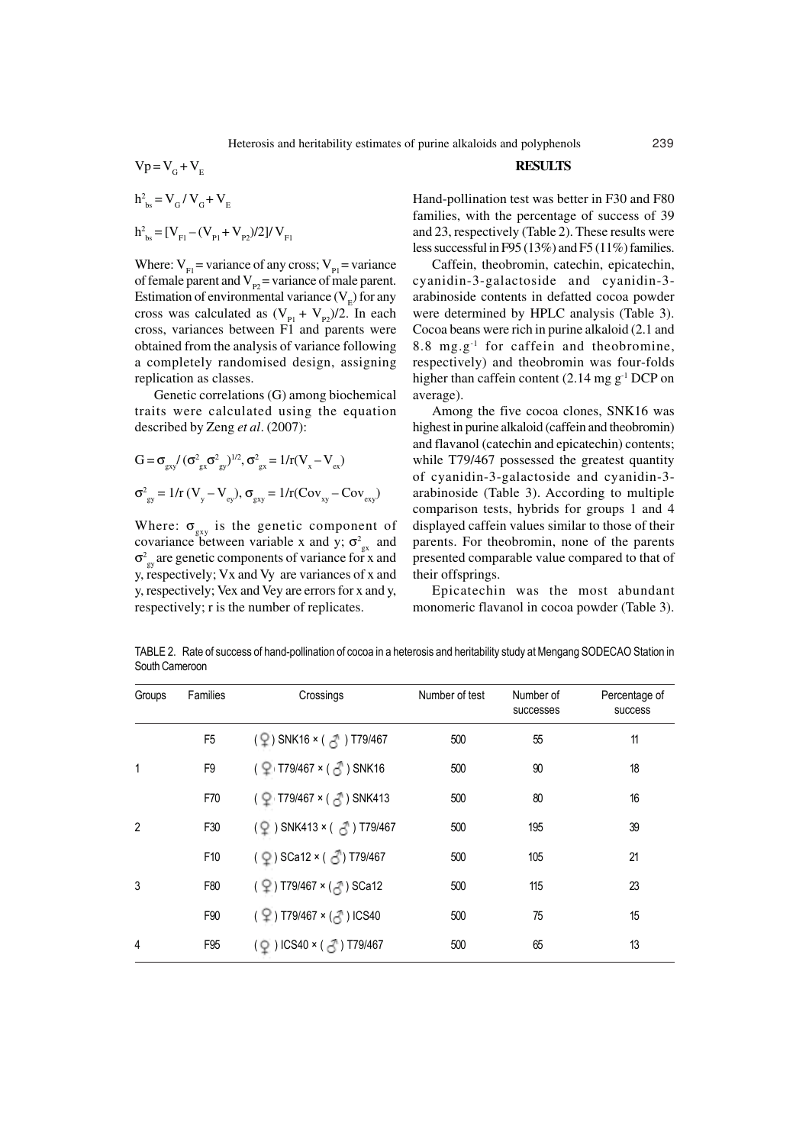$$
Vp = V_{G} + V_{E}
$$
  
 
$$
h_{bs}^{2} = V_{G} / V_{G} + V_{E}
$$

$$
h_{bs}^2 = [V_{F1} - (V_{p1} + V_{p2})/2]/V_{F1}
$$

Where:  $V_{F1}$  = variance of any cross;  $V_{P1}$  = variance of female parent and  $V_{p2}$  = variance of male parent. Estimation of environmental variance  $(V_{E})$  for any cross was calculated as  $(V_{p_1} + V_{p_2})/2$ . In each cross, variances between F1 and parents were obtained from the analysis of variance following a completely randomised design, assigning replication as classes.

Genetic correlations (G) among biochemical traits were calculated using the equation described by Zeng *et al*. (2007):

$$
G = \sigma_{\text{gx}} / (\sigma_{\text{gx}}^2 \sigma_{\text{gy}}^2)^{1/2}, \sigma_{\text{gx}}^2 = 1 / r (V_x - V_{\text{ex}})
$$

$$
\sigma_{\text{gy}}^2 = 1 / r (V_y - V_{\text{ey}}), \sigma_{\text{gxy}} = 1 / r (Cov_{\text{xy}} - Cov_{\text{exy}})
$$

Where:  $\sigma_{\text{gxy}}$  is the genetic component of covariance between variable x and y;  $\sigma_{gx}^2$  and  $\sigma_{\text{gy}}^2$  are genetic components of variance for x and y, respectively; Vx and Vy are variances of x and y, respectively; Vex and Vey are errors for x and y, respectively; r is the number of replicates.

#### **RESULTS**

Hand-pollination test was better in F30 and F80 families, with the percentage of success of 39 and 23, respectively (Table 2). These results were less successful in F95 (13%) and F5 (11%) families.

Caffein, theobromin, catechin, epicatechin, cyanidin-3-galactoside and cyanidin-3 arabinoside contents in defatted cocoa powder were determined by HPLC analysis (Table 3). Cocoa beans were rich in purine alkaloid (2.1 and 8.8 mg.g-1 for caffein and theobromine, respectively) and theobromin was four-folds higher than caffein content (2.14 mg  $g^{-1}$  DCP on average).

Among the five cocoa clones, SNK16 was highest in purine alkaloid (caffein and theobromin) and flavanol (catechin and epicatechin) contents; while T79/467 possessed the greatest quantity of cyanidin-3-galactoside and cyanidin-3 arabinoside (Table 3). According to multiple comparison tests, hybrids for groups 1 and 4 displayed caffein values similar to those of their parents. For theobromin, none of the parents presented comparable value compared to that of their offsprings.

Epicatechin was the most abundant monomeric flavanol in cocoa powder (Table 3).

TABLE 2. Rate of success of hand-pollination of cocoa in a heterosis and heritability study at Mengang SODECAO Station in South Cameroon

| Groups         | Families        | Crossings                                            | Number of test | Number of<br>successes | Percentage of<br><b>SUCCESS</b> |
|----------------|-----------------|------------------------------------------------------|----------------|------------------------|---------------------------------|
|                | F <sub>5</sub>  |                                                      | 500            | 55                     | 11                              |
| 1              | F <sub>9</sub>  | $($ $\frac{6}{2}$ T79/467 × ( $\frac{3}{2}$ ) SNK16  | 500            | 90                     | 18                              |
|                | F70             | ( ♀ T79/467 × ( ♂ ) SNK413                           | 500            | 80                     | 16                              |
| $\overline{2}$ | F30             | $($ $\circ$ $)$ SNK413 × ( $\circ$ $\circ$ ) T79/467 | 500            | 195                    | 39                              |
|                | F <sub>10</sub> | $(Q)$ SCa12 × $(S)$ T79/467                          | 500            | 105                    | 21                              |
| 3              | F80             | (♀)T79/467 × ( ↑) SCa12                              | 500            | 115                    | 23                              |
|                | F90             | (♀) T79/467 × ( ↑) ICS40                             | 500            | 75                     | 15                              |
| 4              | F <sub>95</sub> | $(Q)$ ICS40 × ( $Z$ ) T79/467                        | 500            | 65                     | 13                              |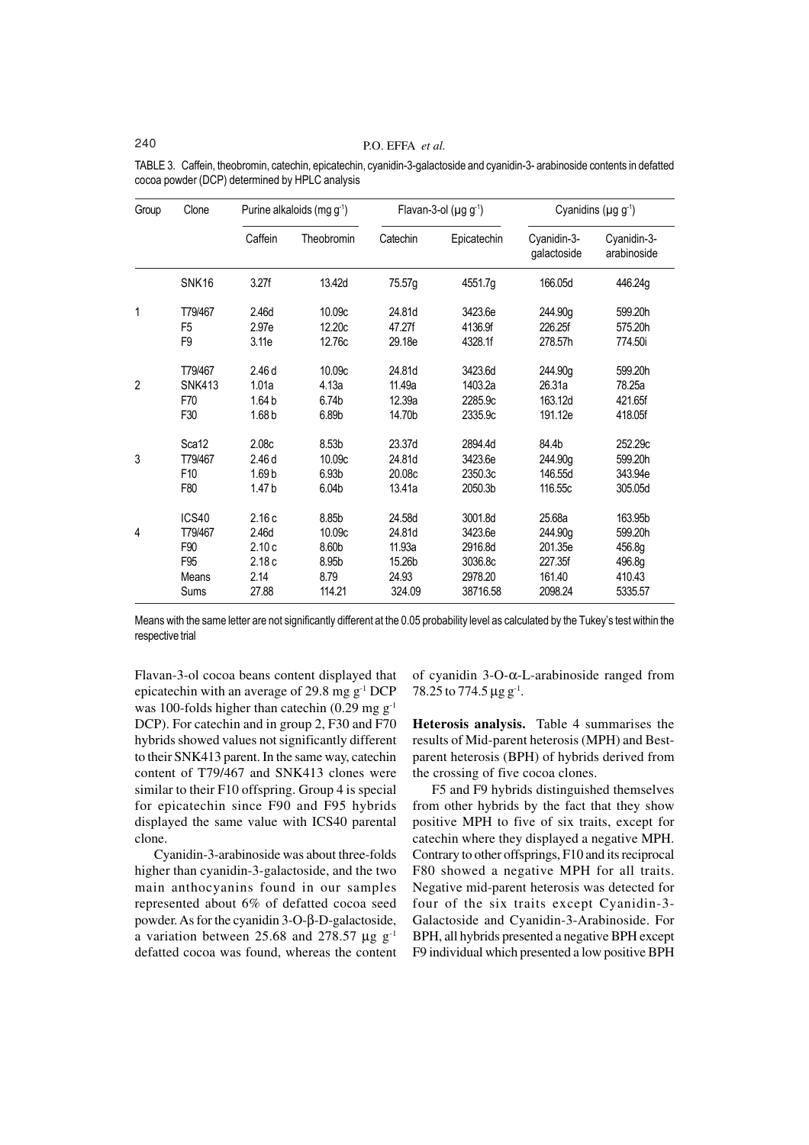## 240 P.O. EFFA *et al.*

| Group          | Clone           |                   | Purine alkaloids (mg $g^{-1}$ ) |          | Flavan-3-ol $(\mu g g^{-1})$ | Cyanidins ( $\mu$ g g <sup>-1</sup> ) |                            |
|----------------|-----------------|-------------------|---------------------------------|----------|------------------------------|---------------------------------------|----------------------------|
|                |                 | Caffein           | Theobromin                      | Catechin | Epicatechin                  | Cyanidin-3-<br>galactoside            | Cyanidin-3-<br>arabinoside |
|                | SNK16           | 3.27f             | 13.42d                          | 75.57g   | 4551.7g                      | 166.05d                               | 446.24g                    |
| 1              | T79/467         | 2.46d             | 10.09c                          | 24.81d   | 3423.6e                      | 244.90g                               | 599.20h                    |
|                | F <sub>5</sub>  | 2.97e             | 12.20c                          | 47.27f   | 4136.9f                      | 226.25f                               | 575.20h                    |
|                | F <sub>9</sub>  | 3.11e             | 12.76c                          | 29.18e   | 4328.1f                      | 278.57h                               | 774.50i                    |
| $\overline{2}$ | T79/467         | 2.46d             | 10.09c                          | 24.81d   | 3423.6d                      | 244.90g                               | 599.20h                    |
|                | <b>SNK413</b>   | 1.01a             | 4.13a                           | 11.49a   | 1403.2a                      | 26.31a                                | 78.25a                     |
|                | F70             | 1.64 <sub>b</sub> | 6.74b                           | 12.39a   | 2285.9c                      | 163.12d                               | 421.65f                    |
|                | F30             | 1.68 <sub>b</sub> | 6.89b                           | 14.70b   | 2335.9c                      | 191.12e                               | 418.05f                    |
| 3              | Sca12           | 2.08c             | 8.53 <sub>b</sub>               | 23.37d   | 2894.4d                      | 84.4b                                 | 252.29c                    |
|                | T79/467         | 2.46d             | 10.09c                          | 24.81d   | 3423.6e                      | 244.90g                               | 599.20h                    |
|                | F <sub>10</sub> | 1.69 <sub>b</sub> | 6.93 <sub>b</sub>               | 20.08c   | 2350.3c                      | 146.55d                               | 343.94e                    |
|                | F80             | 1.47 <sub>b</sub> | 6.04b                           | 13.41a   | 2050.3b                      | 116.55c                               | 305.05d                    |
| 4              | ICS40           | 2.16c             | 8.85b                           | 24.58d   | 3001.8d                      | 25.68a                                | 163.95b                    |
|                | T79/467         | 2.46d             | 10.09c                          | 24.81d   | 3423.6e                      | 244.90g                               | 599.20h                    |
|                | F90             | 2.10c             | 8.60b                           | 11.93a   | 2916.8d                      | 201.35e                               | 456.8g                     |
|                | F95             | 2.18c             | 8.95b                           | 15.26b   | 3036.8c                      | 227.35f                               | 496.8g                     |
|                | Means           | 2.14              | 8.79                            | 24.93    | 2978.20                      | 161.40                                | 410.43                     |
|                | Sums            | 27.88             | 114.21                          | 324.09   | 38716.58                     | 2098.24                               | 5335.57                    |

TABLE 3. Caffein, theobromin, catechin, epicatechin, cyanidin-3-galactoside and cyanidin-3- arabinoside contents in defatted cocoa powder (DCP) determined by HPLC analysis

Means with the same letter are not significantly different at the 0.05 probability level as calculated by the Tukey's test within the respective trial

Flavan-3-ol cocoa beans content displayed that epicatechin with an average of 29.8 mg g-1 DCP was 100-folds higher than catechin  $(0.29 \text{ mg g}^{-1})$ DCP). For catechin and in group 2, F30 and F70 hybrids showed values not significantly different to their SNK413 parent. In the same way, catechin content of T79/467 and SNK413 clones were similar to their F10 offspring. Group 4 is special for epicatechin since F90 and F95 hybrids displayed the same value with ICS40 parental clone.

Cyanidin-3-arabinoside was about three-folds higher than cyanidin-3-galactoside, and the two main anthocyanins found in our samples represented about 6% of defatted cocoa seed powder. As for the cyanidin 3-O-β-D-galactoside, a variation between 25.68 and 278.57  $\mu$ g g<sup>-1</sup> defatted cocoa was found, whereas the content of cyanidin 3-O-α-L-arabinoside ranged from  $78.25$  to  $774.5 \,\mu g \,g^{-1}$ .

**Heterosis analysis.** Table 4 summarises the results of Mid-parent heterosis (MPH) and Bestparent heterosis (BPH) of hybrids derived from the crossing of five cocoa clones.

F5 and F9 hybrids distinguished themselves from other hybrids by the fact that they show positive MPH to five of six traits, except for catechin where they displayed a negative MPH. Contrary to other offsprings, F10 and its reciprocal F80 showed a negative MPH for all traits. Negative mid-parent heterosis was detected for four of the six traits except Cyanidin-3- Galactoside and Cyanidin-3-Arabinoside. For BPH, all hybrids presented a negative BPH except F9 individual which presented a low positive BPH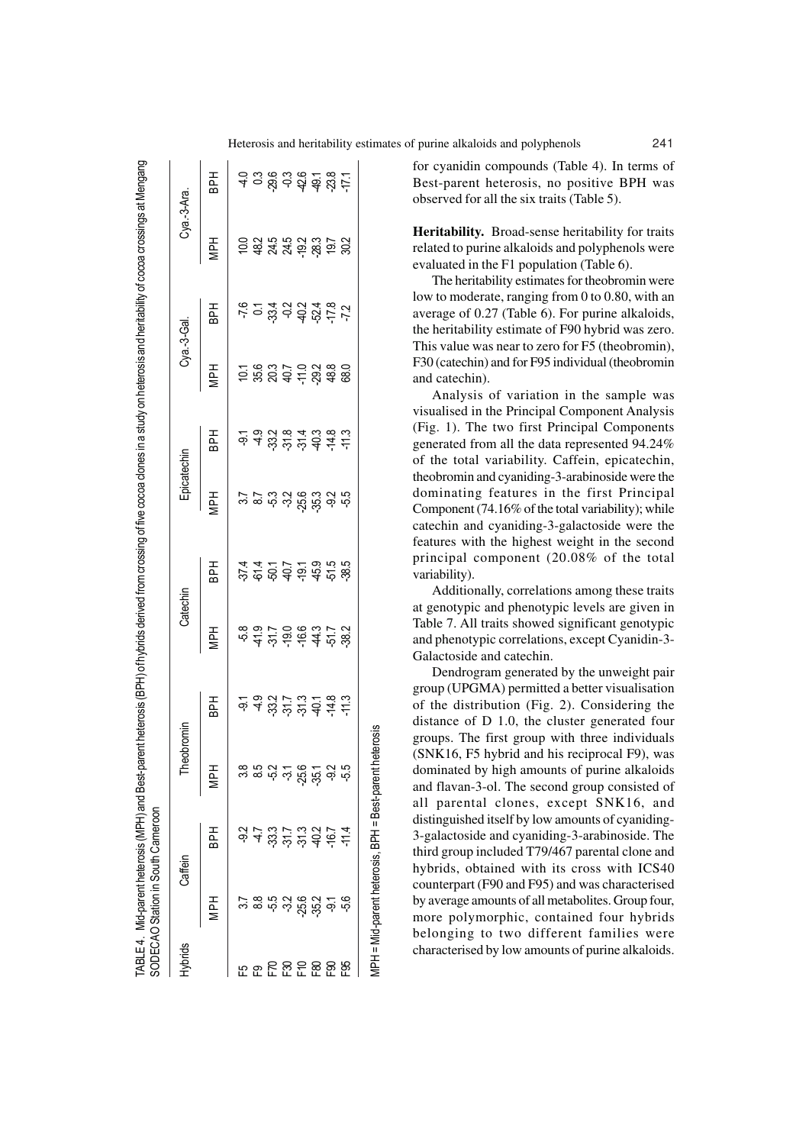| ybrids |                                            | Caffein                                                                                                                                                                                                        |                                                        |            | Catechin                                                            |                                                                          | Epicatechin |                                                                                                                                                                                     | Cya.-3-Gal. |                                                   | Cya.-3-Ara.                                                         |            |
|--------|--------------------------------------------|----------------------------------------------------------------------------------------------------------------------------------------------------------------------------------------------------------------|--------------------------------------------------------|------------|---------------------------------------------------------------------|--------------------------------------------------------------------------|-------------|-------------------------------------------------------------------------------------------------------------------------------------------------------------------------------------|-------------|---------------------------------------------------|---------------------------------------------------------------------|------------|
|        | ДPН                                        | <b>HdB</b>                                                                                                                                                                                                     | Hd                                                     | <b>HdB</b> | <b>MPH</b>                                                          | 군<br>음                                                                   | <b>HH</b>   | HH<br>BPH                                                                                                                                                                           | <b>HdM</b>  | Hd<br>B                                           | <b>MPH</b>                                                          | <b>BPH</b> |
|        |                                            |                                                                                                                                                                                                                |                                                        |            |                                                                     |                                                                          |             |                                                                                                                                                                                     |             |                                                   |                                                                     |            |
|        |                                            |                                                                                                                                                                                                                |                                                        |            |                                                                     |                                                                          |             |                                                                                                                                                                                     |             |                                                   |                                                                     |            |
|        | ပ္ ဆက္လံ က ထိ ဟု ထိ<br>ပါ ထက္လံ က ထိ ဟု ထိ | $\phi$ 4 $\omega$ $\stackrel{1}{\sim}$ $\stackrel{1}{\sim}$ $\stackrel{1}{\sim}$ $\stackrel{1}{\sim}$ $\stackrel{1}{\sim}$ $\stackrel{1}{\sim}$ $\stackrel{1}{\sim}$ $\stackrel{1}{\sim}$ $\stackrel{1}{\sim}$ | စ် ကို ဟု ထို ကို တို ကို<br>စာ ကို ဟု ထို ကို တို ကို |            | e a i r o e e a r i s<br>e a r o e e a r i s<br>e a r o e e a r i s | ي خو د د د د د ن د ن نه<br>د د د د د د ن ن ن نه نه<br>د د د د د ن ن ن نه |             | <u>ہے کے لاے دی کے ح</u><br>دن کا مختلف کا مختلف کا مختلف کے خاصہ<br>دان کا مختلف کا مختلف کا مختلف کا مختلف کا مختلف کا مختلف کا مختلف کا مختلف کا مختلف کا مختلف کا مختلف کا مختل |             | c 0 3 9 <del>8</del> 9 0 1 0<br>e 2 4 9 9 4 9 0 1 | ០ ១ ១ ១ ១ ១ ១ <u>៦</u><br>១ ១ ១ ១ ១ ១ ១ <u>៦</u> ១<br>១ ១ ១ ១ ១ ១ ១ |            |
|        |                                            |                                                                                                                                                                                                                |                                                        |            |                                                                     |                                                                          |             |                                                                                                                                                                                     |             |                                                   |                                                                     |            |
|        |                                            |                                                                                                                                                                                                                |                                                        |            |                                                                     |                                                                          |             |                                                                                                                                                                                     |             |                                                   |                                                                     |            |
|        |                                            |                                                                                                                                                                                                                |                                                        |            |                                                                     |                                                                          |             |                                                                                                                                                                                     |             |                                                   |                                                                     |            |
|        |                                            |                                                                                                                                                                                                                |                                                        |            |                                                                     |                                                                          |             |                                                                                                                                                                                     |             |                                                   |                                                                     |            |
|        |                                            |                                                                                                                                                                                                                |                                                        |            |                                                                     |                                                                          |             |                                                                                                                                                                                     |             |                                                   |                                                                     |            |
|        |                                            |                                                                                                                                                                                                                |                                                        |            |                                                                     |                                                                          |             |                                                                                                                                                                                     |             |                                                   |                                                                     |            |

MPH = Mid-parent heterosis, BPH = Best-parent heterosis

/IPH = Mid-parent heterosis, BPH = Best-parent heterosis

Heterosis and heritability estimates of purine alkaloids and polyphenols 241

for cyanidin compounds (Table 4). In terms of Best-parent heterosis, no positive BPH was observed for all the six traits (Table 5).

**Heritability.** Broad-sense heritability for traits related to purine alkaloids and polyphenols were evaluated in the F1 population (Table 6).

The heritability estimates for theobromin were low to moderate, ranging from 0 to 0.80, with an average of 0.27 (Table 6). For purine alkaloids, the heritability estimate of F90 hybrid was zero. This value was near to zero for F5 (theobromin), F30 (catechin) and for F95 individual (theobromin and catechin).

Analysis of variation in the sample was visualised in the Principal Component Analysis (Fig. 1). The two first Principal Components generated from all the data represented 94.24% of the total variability. Caffein, epicatechin, theobromin and cyaniding-3-arabinoside were the dominating features in the first Principal Component (74.16% of the total variability); while catechin and cyaniding-3-galactoside were the features with the highest weight in the second principal component (20.08% of the total variability).

Additionally, correlations among these traits at genotypic and phenotypic levels are given in Table 7. All traits showed significant genotypic and phenotypic correlations, except Cyanidin-3- Galactoside and catechin.

Dendrogram generated by the unweight pair group (UPGMA) permitted a better visualisation of the distribution (Fig. 2). Considering the distance of D 1.0, the cluster generated four groups. The first group with three individuals (SNK16, F5 hybrid and his reciprocal F9), was dominated by high amounts of purine alkaloids and flavan-3-ol. The second group consisted of all parental clones, except SNK16, and distinguished itself by low amounts of cyaniding-3-galactoside and cyaniding-3-arabinoside. The third group included T79/467 parental clone and hybrids, obtained with its cross with ICS40 counterpart (F90 and F95) and was characterised by average amounts of all metabolites. Group four, more polymorphic, contained four hybrids belonging to two different families were characterised by low amounts of purine alkaloids.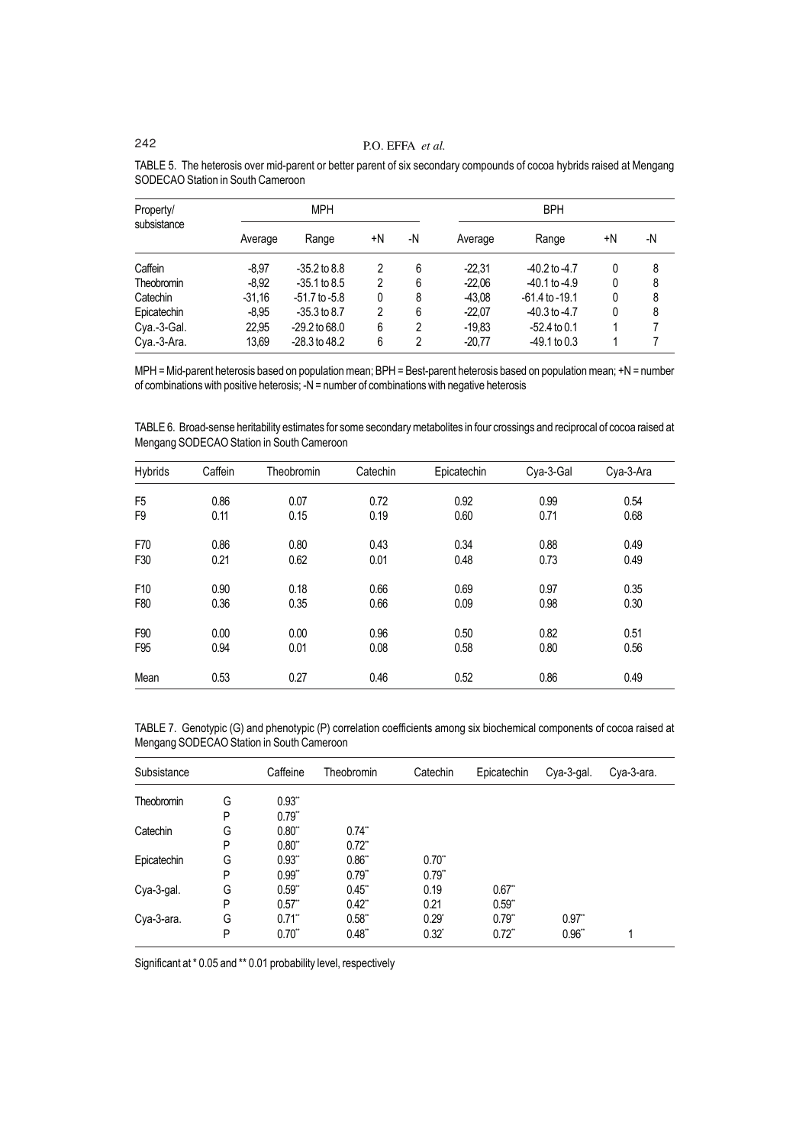| Property/<br>subsistance | <b>MPH</b> |                   |    |    | <b>BPH</b> |                    |    |    |  |
|--------------------------|------------|-------------------|----|----|------------|--------------------|----|----|--|
|                          | Average    | Range             | +N | -N | Average    | Range              | +N | -N |  |
| Caffein                  | $-8.97$    | $-35.2$ to 8.8    | 2  | 6  | $-22.31$   | $-40.2$ to $-4.7$  | 0  | 8  |  |
| Theobromin               | $-8.92$    | $-35.1$ to 8.5    | 2  | 6  | $-22.06$   | $-40.1$ to $-4.9$  | 0  | 8  |  |
| Catechin                 | $-31,16$   | $-51.7$ to $-5.8$ | 0  | 8  | $-43.08$   | $-61.4$ to $-19.1$ | 0  | 8  |  |
| Epicatechin              | $-8.95$    | $-35.3$ to 8.7    | 2  | 6  | $-22.07$   | $-40.3$ to $-4.7$  | 0  | 8  |  |
| Cya.-3-Gal.              | 22.95      | $-29.2$ to 68.0   | 6  | 2  | $-19.83$   | $-52.4$ to 0.1     |    |    |  |
| Cya.-3-Ara.              | 13,69      | $-28.3$ to $48.2$ | 6  | 2  | $-20.77$   | $-49.1$ to 0.3     |    |    |  |

TABLE 5. The heterosis over mid-parent or better parent of six secondary compounds of cocoa hybrids raised at Mengang SODECAO Station in South Cameroon

MPH = Mid-parent heterosis based on population mean; BPH = Best-parent heterosis based on population mean; +N = number of combinations with positive heterosis; -N = number of combinations with negative heterosis

TABLE 6. Broad-sense heritability estimates for some secondary metabolites in four crossings and reciprocal of cocoa raised at Mengang SODECAO Station in South Cameroon

| Hybrids         | Caffein | Theobromin | Catechin | Epicatechin | Cya-3-Gal | Cya-3-Ara |
|-----------------|---------|------------|----------|-------------|-----------|-----------|
| F <sub>5</sub>  | 0.86    | 0.07       | 0.72     | 0.92        | 0.99      | 0.54      |
| F <sub>9</sub>  | 0.11    | 0.15       | 0.19     | 0.60        | 0.71      | 0.68      |
| F70             | 0.86    | 0.80       | 0.43     | 0.34        | 0.88      | 0.49      |
| F30             | 0.21    | 0.62       | 0.01     | 0.48        | 0.73      | 0.49      |
| F <sub>10</sub> | 0.90    | 0.18       | 0.66     | 0.69        | 0.97      | 0.35      |
| F80             | 0.36    | 0.35       | 0.66     | 0.09        | 0.98      | 0.30      |
| F90             | 0.00    | 0.00       | 0.96     | 0.50        | 0.82      | 0.51      |
| F <sub>95</sub> | 0.94    | 0.01       | 0.08     | 0.58        | 0.80      | 0.56      |
| Mean            | 0.53    | 0.27       | 0.46     | 0.52        | 0.86      | 0.49      |

TABLE 7. Genotypic (G) and phenotypic (P) correlation coefficients among six biochemical components of cocoa raised at Mengang SODECAO Station in South Cameroon

| Subsistance |   | Caffeine | <b>Theobromin</b>    | Catechin            | Epicatechin          | Cya-3-gal. | Cya-3-ara. |
|-------------|---|----------|----------------------|---------------------|----------------------|------------|------------|
| Theobromin  | G | 0.93"    |                      |                     |                      |            |            |
|             | P | $0.79$ * |                      |                     |                      |            |            |
| Catechin    | G | 0.80"    | $0.74$ **            |                     |                      |            |            |
|             | P | 0.80"    | $0.72$ **            |                     |                      |            |            |
| Epicatechin | G | 0.93"    | 0.86"                | $0.70$ "            |                      |            |            |
|             | P | 0.99"    | 0.79"                | 0.79"               |                      |            |            |
| Cya-3-gal.  | G | 0.59"    | 0.45"                | 0.19                | $0.67$ "             |            |            |
|             | P | $0.57$ * | $0.42$ <sup>**</sup> | 0.21                | 0.59"                |            |            |
| Cya-3-ara.  | G | $0.71$ * | 0.58"                | $0.29$ <sup>*</sup> | 0.79"                | $0.97$ "   |            |
|             | P | 0.70"    | 0.48"                | $0.32^{*}$          | $0.72$ <sup>**</sup> | 0.96"      |            |

Significant at \* 0.05 and \*\* 0.01 probability level, respectively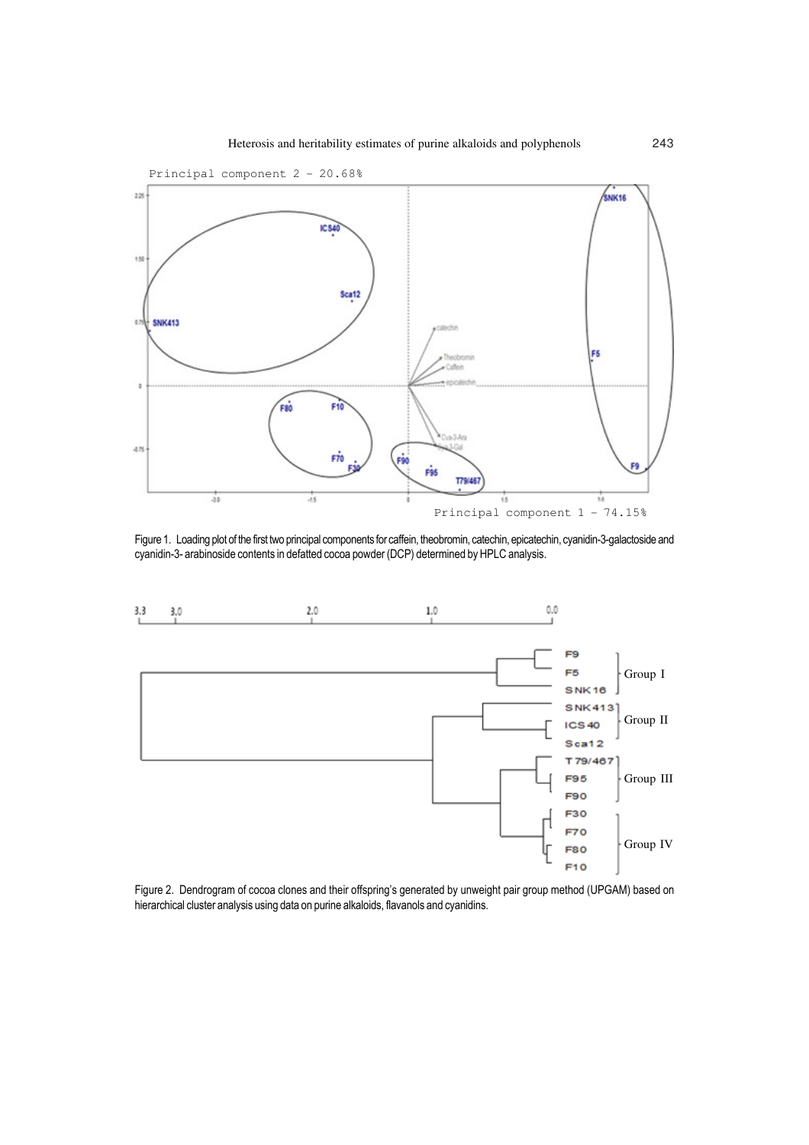

Figure 1. Loading plot of the first two principal components for caffein, theobromin, catechin, epicatechin, cyanidin-3-galactoside and cyanidin-3- arabinoside contents in defatted cocoa powder (DCP) determined by HPLC analysis.



Figure 2. Dendrogram of cocoa clones and their offspring's generated by unweight pair group method (UPGAM) based on hierarchical cluster analysis using data on purine alkaloids, flavanols and cyanidins.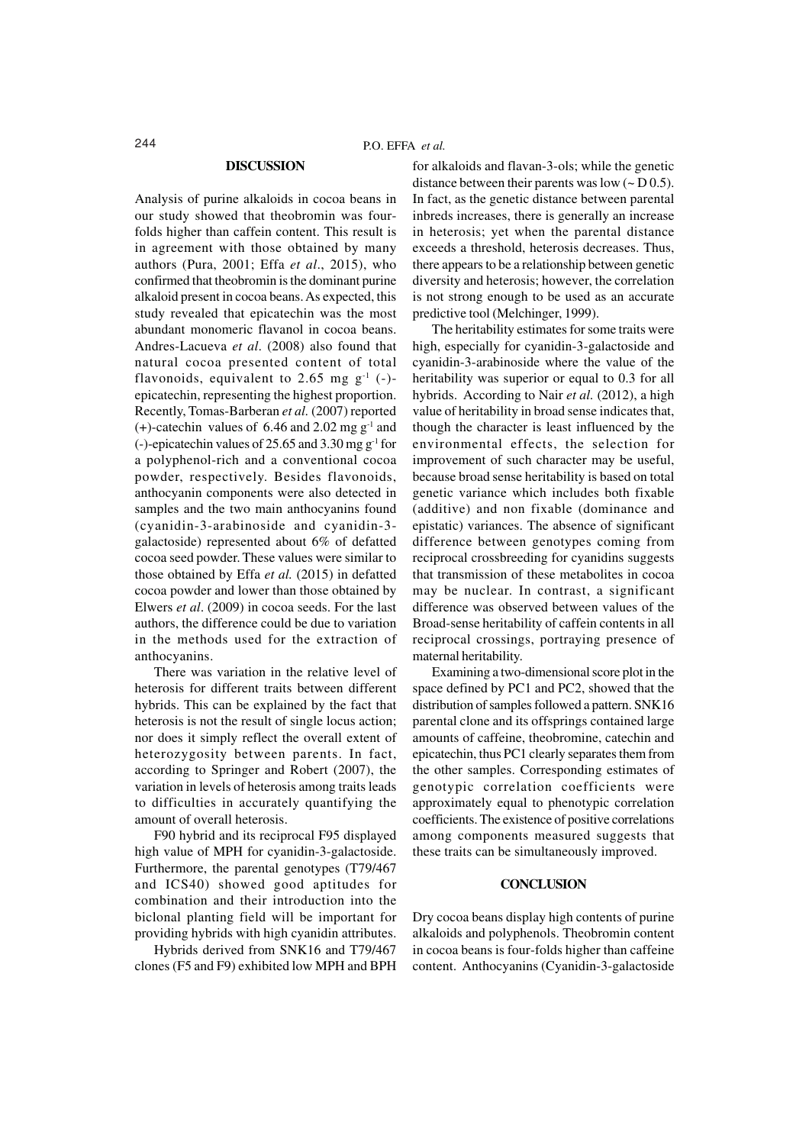#### **DISCUSSION**

Analysis of purine alkaloids in cocoa beans in our study showed that theobromin was fourfolds higher than caffein content. This result is in agreement with those obtained by many authors (Pura, 2001; Effa *et al*., 2015), who confirmed that theobromin is the dominant purine alkaloid present in cocoa beans. As expected, this study revealed that epicatechin was the most abundant monomeric flavanol in cocoa beans. Andres-Lacueva *et al*. (2008) also found that natural cocoa presented content of total flavonoids, equivalent to 2.65 mg  $g^{-1}$  (-)epicatechin, representing the highest proportion. Recently, Tomas-Barberan *et al.* (2007) reported  $(+)$ -catechin values of 6.46 and 2.02 mg g<sup>-1</sup> and (-)-epicatechin values of 25.65 and 3.30 mg g-1 for a polyphenol-rich and a conventional cocoa powder, respectively. Besides flavonoids, anthocyanin components were also detected in samples and the two main anthocyanins found (cyanidin-3-arabinoside and cyanidin-3 galactoside) represented about 6% of defatted cocoa seed powder. These values were similar to those obtained by Effa *et al.* (2015) in defatted cocoa powder and lower than those obtained by Elwers *et al*. (2009) in cocoa seeds. For the last authors, the difference could be due to variation in the methods used for the extraction of anthocyanins.

There was variation in the relative level of heterosis for different traits between different hybrids. This can be explained by the fact that heterosis is not the result of single locus action; nor does it simply reflect the overall extent of heterozygosity between parents. In fact, according to Springer and Robert (2007), the variation in levels of heterosis among traits leads to difficulties in accurately quantifying the amount of overall heterosis.

F90 hybrid and its reciprocal F95 displayed high value of MPH for cyanidin-3-galactoside. Furthermore, the parental genotypes (T79/467 and ICS40) showed good aptitudes for combination and their introduction into the biclonal planting field will be important for providing hybrids with high cyanidin attributes.

Hybrids derived from SNK16 and T79/467 clones (F5 and F9) exhibited low MPH and BPH

for alkaloids and flavan-3-ols; while the genetic distance between their parents was low  $(-D 0.5)$ . In fact, as the genetic distance between parental inbreds increases, there is generally an increase in heterosis; yet when the parental distance exceeds a threshold, heterosis decreases. Thus, there appears to be a relationship between genetic diversity and heterosis; however, the correlation is not strong enough to be used as an accurate predictive tool (Melchinger, 1999).

The heritability estimates for some traits were high, especially for cyanidin-3-galactoside and cyanidin-3-arabinoside where the value of the heritability was superior or equal to 0.3 for all hybrids. According to Nair *et al.* (2012), a high value of heritability in broad sense indicates that, though the character is least influenced by the environmental effects, the selection for improvement of such character may be useful, because broad sense heritability is based on total genetic variance which includes both fixable (additive) and non fixable (dominance and epistatic) variances. The absence of significant difference between genotypes coming from reciprocal crossbreeding for cyanidins suggests that transmission of these metabolites in cocoa may be nuclear. In contrast, a significant difference was observed between values of the Broad-sense heritability of caffein contents in all reciprocal crossings, portraying presence of maternal heritability.

Examining a two-dimensional score plot in the space defined by PC1 and PC2, showed that the distribution of samples followed a pattern. SNK16 parental clone and its offsprings contained large amounts of caffeine, theobromine, catechin and epicatechin, thus PC1 clearly separates them from the other samples. Corresponding estimates of genotypic correlation coefficients were approximately equal to phenotypic correlation coefficients. The existence of positive correlations among components measured suggests that these traits can be simultaneously improved.

#### **CONCLUSION**

Dry cocoa beans display high contents of purine alkaloids and polyphenols. Theobromin content in cocoa beans is four-folds higher than caffeine content. Anthocyanins (Cyanidin-3-galactoside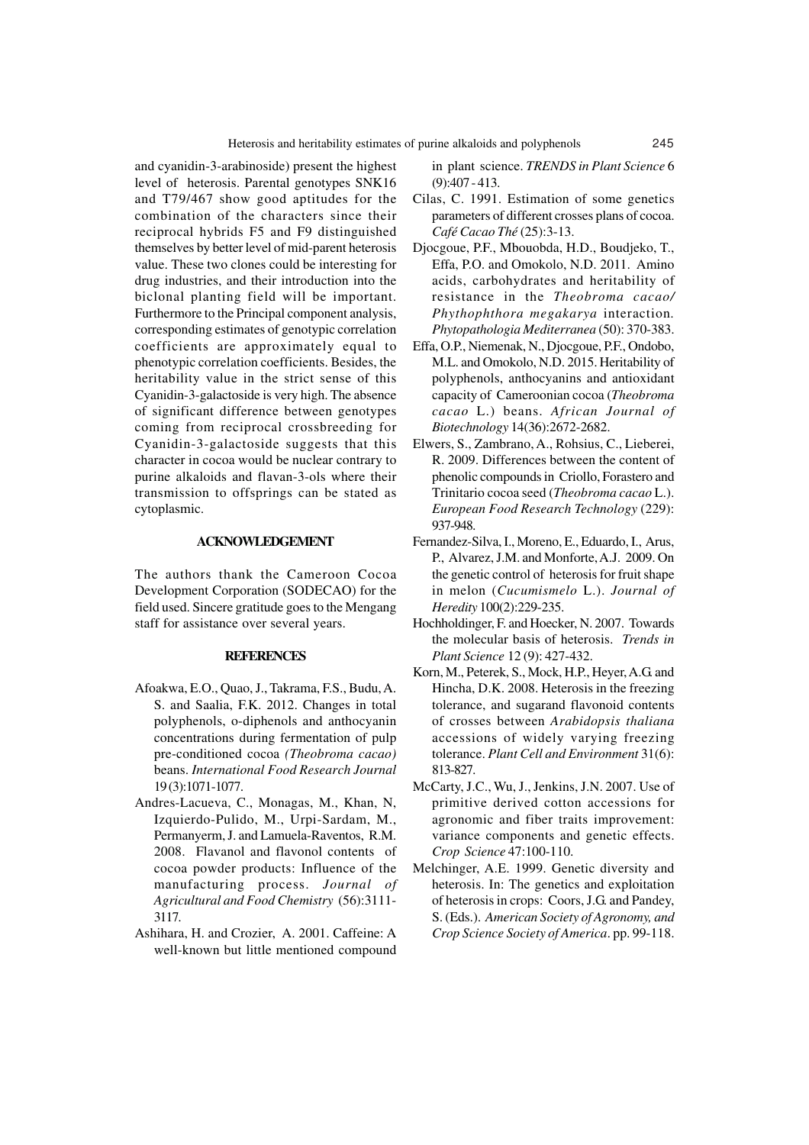and cyanidin-3-arabinoside) present the highest level of heterosis. Parental genotypes SNK16 and T79/467 show good aptitudes for the combination of the characters since their reciprocal hybrids F5 and F9 distinguished themselves by better level of mid-parent heterosis value. These two clones could be interesting for drug industries, and their introduction into the biclonal planting field will be important. Furthermore to the Principal component analysis, corresponding estimates of genotypic correlation coefficients are approximately equal to phenotypic correlation coefficients. Besides, the heritability value in the strict sense of this Cyanidin-3-galactoside is very high. The absence of significant difference between genotypes coming from reciprocal crossbreeding for Cyanidin-3-galactoside suggests that this character in cocoa would be nuclear contrary to purine alkaloids and flavan-3-ols where their transmission to offsprings can be stated as cytoplasmic.

### **ACKNOWLEDGEMENT**

The authors thank the Cameroon Cocoa Development Corporation (SODECAO) for the field used. Sincere gratitude goes to the Mengang staff for assistance over several years.

#### **REFERENCES**

- Afoakwa, E.O., Quao, J., Takrama, F.S., Budu, A. S. and Saalia, F.K. 2012. Changes in total polyphenols, o-diphenols and anthocyanin concentrations during fermentation of pulp pre-conditioned cocoa *(Theobroma cacao)* beans. *International Food Research Journal* 19 (3):1071-1077.
- Andres-Lacueva, C., Monagas, M., Khan, N, Izquierdo-Pulido, M., Urpi-Sardam, M., Permanyerm, J. and Lamuela-Raventos, R.M. 2008. Flavanol and flavonol contents of cocoa powder products: Influence of the manufacturing process. *Journal of Agricultural and Food Chemistry* (56):3111- 3117.
- Ashihara, H. and Crozier, A. 2001. Caffeine: A well-known but little mentioned compound

in plant science. *TRENDS in Plant Science* 6 (9):407 - 413.

- Cilas, C. 1991. Estimation of some genetics parameters of different crosses plans of cocoa. *Café Cacao Thé* (25):3-13.
- Djocgoue, P.F., Mbouobda, H.D., Boudjeko, T., Effa, P.O. and Omokolo, N.D. 2011. Amino acids, carbohydrates and heritability of resistance in the *Theobroma cacao/ Phythophthora megakarya* interaction*. Phytopathologia Mediterranea* (50): 370-383.
- Effa, O.P., Niemenak, N., Djocgoue, P.F., Ondobo, M.L. and Omokolo, N.D. 2015. Heritability of polyphenols, anthocyanins and antioxidant capacity of Cameroonian cocoa (*Theobroma cacao* L.) beans. *African Journal of Biotechnology* 14(36):2672-2682.
- Elwers, S., Zambrano, A., Rohsius, C., Lieberei, R. 2009. Differences between the content of phenolic compounds in Criollo, Forastero and Trinitario cocoa seed (*Theobroma cacao* L.). *European Food Research Technology* (229): 937-948.
- Fernandez-Silva, I., Moreno, E., Eduardo, I., Arus, P., Alvarez, J.M. and Monforte, A.J. 2009. On the genetic control of heterosis for fruit shape in melon (*Cucumismelo* L.). *Journal of Heredity* 100(2):229-235.
- Hochholdinger, F. and Hoecker, N. 2007. Towards the molecular basis of heterosis. *Trends in Plant Science* 12 (9): 427-432.
- Korn, M., Peterek, S., Mock, H.P., Heyer, A.G. and Hincha, D.K. 2008. Heterosis in the freezing tolerance, and sugarand flavonoid contents of crosses between *Arabidopsis thaliana* accessions of widely varying freezing tolerance. *Plant Cell and Environment* 31(6): 813-827.
- McCarty, J.C., Wu, J., Jenkins, J.N. 2007. Use of primitive derived cotton accessions for agronomic and fiber traits improvement: variance components and genetic effects. *Crop Science* 47:100-110.
- Melchinger, A.E. 1999. Genetic diversity and heterosis. In: The genetics and exploitation of heterosis in crops: Coors, J.G. and Pandey, S. (Eds.). *American Society of Agronomy, and Crop Science Society of America*. pp. 99-118.